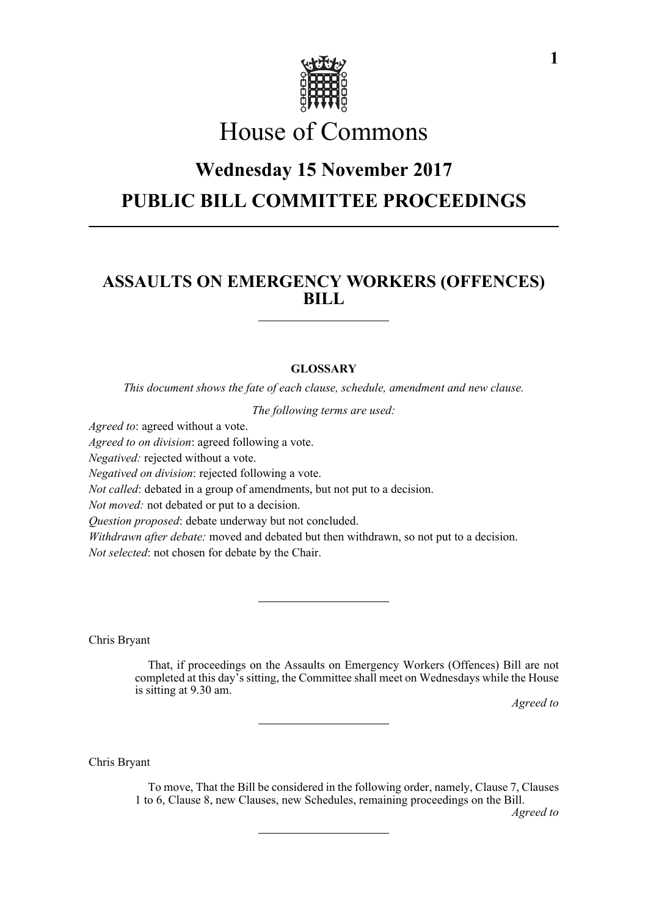

# House of Commons

## **Wednesday 15 November 2017 PUBLIC BILL COMMITTEE PROCEEDINGS**

### **ASSAULTS ON EMERGENCY WORKERS (OFFENCES) BILL**

#### **GLOSSARY**

*This document shows the fate of each clause, schedule, amendment and new clause.*

*The following terms are used:*

*Agreed to*: agreed without a vote.

*Agreed to on division*: agreed following a vote.

*Negatived:* rejected without a vote.

*Negatived on division*: rejected following a vote.

*Not called*: debated in a group of amendments, but not put to a decision.

*Not moved:* not debated or put to a decision.

*Question proposed*: debate underway but not concluded.

*Withdrawn after debate:* moved and debated but then withdrawn, so not put to a decision. *Not selected*: not chosen for debate by the Chair.

Chris Bryant

That, if proceedings on the Assaults on Emergency Workers (Offences) Bill are not completed at this day's sitting, the Committee shall meet on Wednesdays while the House is sitting at 9.30 am.

*Agreed to*

Chris Bryant

To move, That the Bill be considered in the following order, namely, Clause 7, Clauses 1 to 6, Clause 8, new Clauses, new Schedules, remaining proceedings on the Bill.

*Agreed to*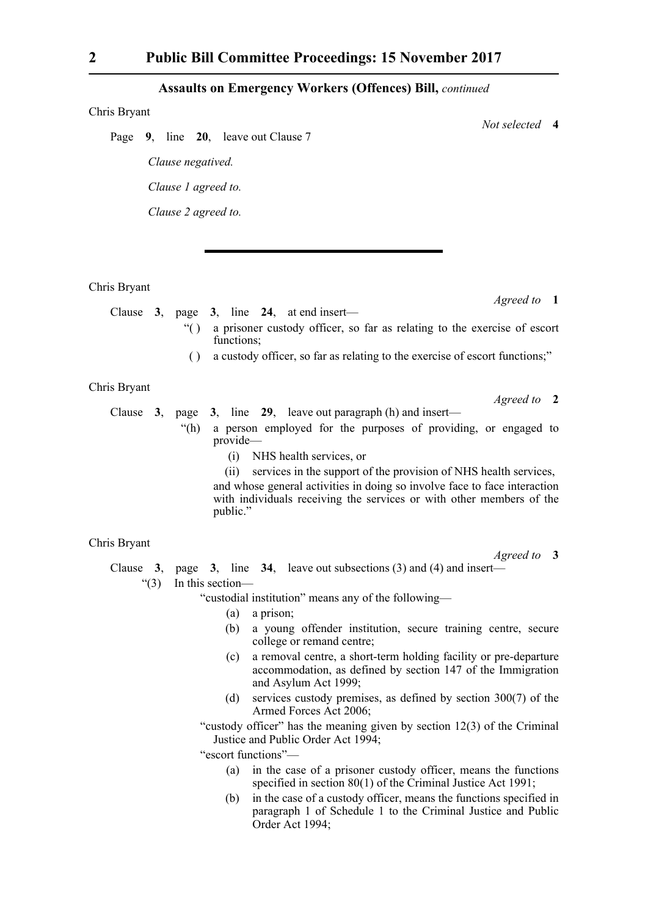#### **Assaults on Emergency Workers (Offences) Bill,** *continued*

#### Chris Bryant

Page **9**, line **20**, leave out Clause 7 *Clause negatived. Clause 1 agreed to. Clause 2 agreed to.*

Chris Bryant

Clause **3**, page **3**, line **24**, at end insert—

- "( ) a prisoner custody officer, so far as relating to the exercise of escort functions:
- ( ) a custody officer, so far as relating to the exercise of escort functions;"

#### Chris Bryant

Clause **3**, page **3**, line **29**, leave out paragraph (h) and insert—

- "(h) a person employed for the purposes of providing, or engaged to provide—
	- (i) NHS health services, or

(ii) services in the support of the provision of NHS health services, and whose general activities in doing so involve face to face interaction with individuals receiving the services or with other members of the public."

#### Chris Bryant

*Agreed to* **3**

Clause **3**, page **3**, line **34**, leave out subsections (3) and (4) and insert—

"(3) In this section—

"custodial institution" means any of the following—

- (a) a prison;
- (b) a young offender institution, secure training centre, secure college or remand centre;
- (c) a removal centre, a short-term holding facility or pre-departure accommodation, as defined by section 147 of the Immigration and Asylum Act 1999;
- (d) services custody premises, as defined by section 300(7) of the Armed Forces Act 2006;

"custody officer" has the meaning given by section 12(3) of the Criminal Justice and Public Order Act 1994;

"escort functions"—

- (a) in the case of a prisoner custody officer, means the functions specified in section 80(1) of the Criminal Justice Act 1991;
- (b) in the case of a custody officer, means the functions specified in paragraph 1 of Schedule 1 to the Criminal Justice and Public Order Act 1994;

*Agreed to* **1**

*Not selected* **4**

*Agreed to* **2**